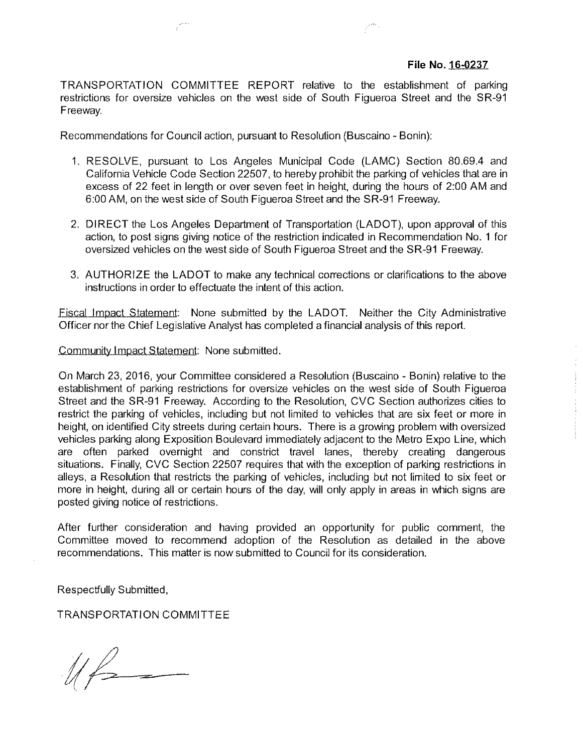## **File No. 16-0237**

TRANSPORTATION COMMITTEE REPORT relative to the establishment of parking restrictions for oversize vehicles on the west side of South Figueroa Street and the SR-91 Freeway.

Recommendations for Council action, pursuant to Resolution (Buscaino - Bonin):

- 1. RESOLVE, pursuant to Los Angeles Municipal Code (LAMC) Section 80.69.4 and California Vehicle Code Section 22507, to hereby prohibit the parking of vehicles that are in excess of 22 feet in length or over seven feet in height, during the hours of 2:00 AM and 6:00 AM, on the west side of South Figueroa Street and the SR-91 Freeway.
- 2. DIRECT the Los Angeles Department of Transportation (LADOT), upon approval of this action, to post signs giving notice of the restriction indicated in Recommendation No. <sup>1</sup> for oversized vehicles on the west side of South Figueroa Street and the SR-91 Freeway.
- 3. AUTHORIZE the LADOT to make any technical corrections or clarifications to the above instructions in order to effectuate the intent of this action.

Fiscal Impact Statement: None submitted by the LADOT. Neither the City Administrative Officer northe Chief Legislative Analyst has completed a financial analysis of this report.

Community Impact Statement: None submitted.

On March 23, 2016, your Committee considered a Resolution (Buscaino - Bonin) relative to the establishment of parking restrictions for oversize vehicles on the west side of South Figueroa Street and the SR-91 Freeway. According to the Resolution, CVC Section authorizes cities to restrict the parking of vehicles, including but not limited to vehicles that are six feet or more in height, on identified City streets during certain hours. There is a growing problem with oversized vehicles parking along Exposition Boulevard immediately adjacent to the Metro Expo Line, which are often parked overnight and constrict travel lanes, thereby creating dangerous situations. Finally, CVC Section 22507 requires that with the exception of parking restrictions in alleys, a Resolution that restricts the parking of vehicles, including but not limited to six feet or more in height, during all or certain hours of the day, will only apply in areas in which signs are posted giving notice of restrictions.

After further consideration and having provided an opportunity for public comment, the Committee moved to recommend adoption of the Resolution as detailed in the above recommendations. This matter is now submitted to Council for its consideration.

Respectfully Submitted,

TRANSPORTATION COMMITTEE

 $1/6$